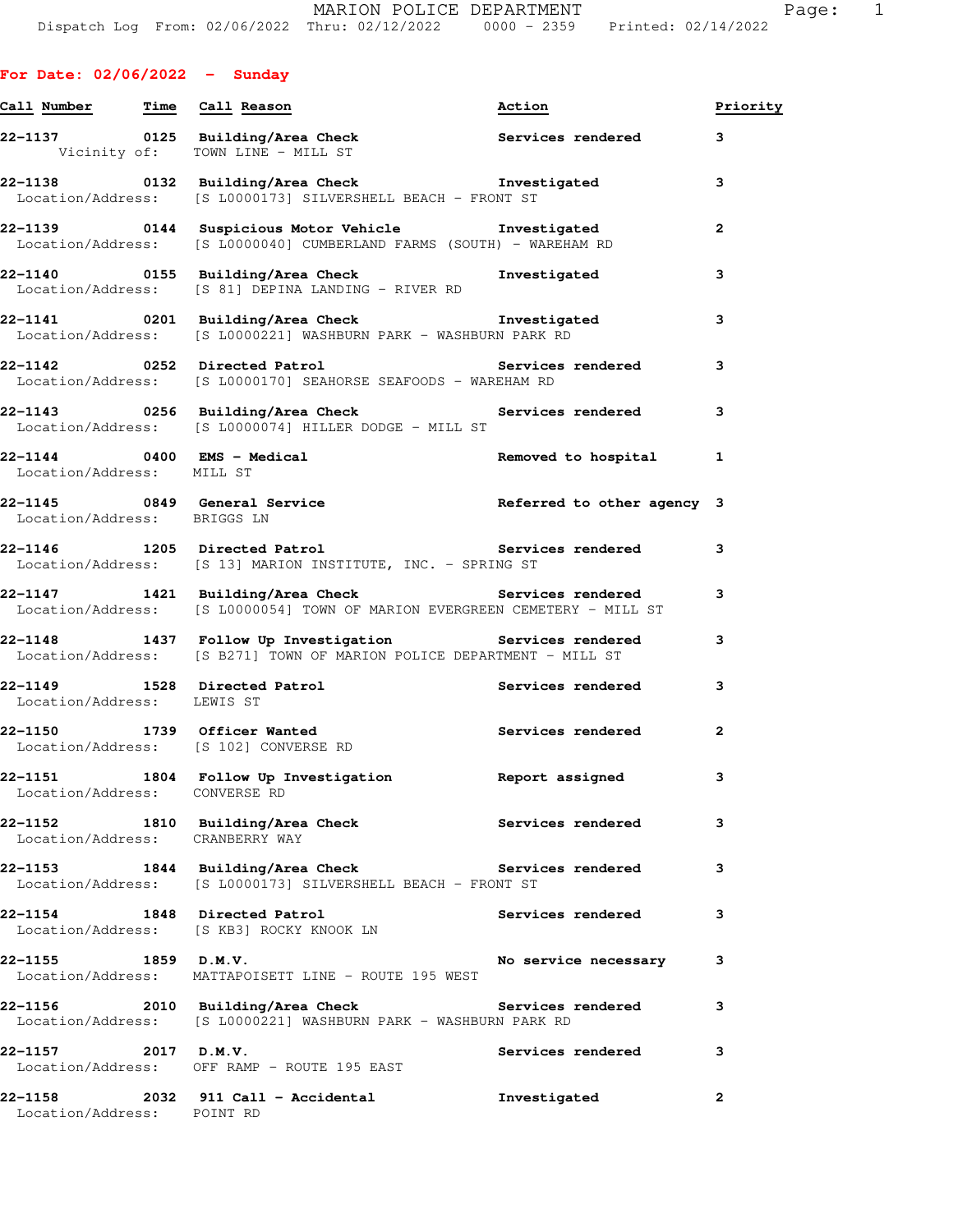|                                       | Call Number Time Call Reason                                                                                                     | Action                   | Priority       |
|---------------------------------------|----------------------------------------------------------------------------------------------------------------------------------|--------------------------|----------------|
|                                       | $22-1137$ 0125 Building/Area Check Services rendered<br>Vicinity of: TOWN LINE - MILL ST                                         |                          | 3              |
|                                       | Location/Address: [S L0000173] SILVERSHELL BEACH - FRONT ST                                                                      |                          | 3              |
|                                       | 22-1139 		 0144 Suspicious Motor Vehicle 		 Investigated<br>Location/Address: [S L0000040] CUMBERLAND FARMS (SOUTH) - WAREHAM RD |                          | $\overline{2}$ |
|                                       | 22-1140 0155 Building/Area Check <b>The Investigated</b><br>Location/Address: [S 81] DEPINA LANDING - RIVER RD                   |                          | 3              |
|                                       | 22-1141 0201 Building/Area Check <b>The Investigated</b><br>Location/Address: [S L0000221] WASHBURN PARK - WASHBURN PARK RD      |                          | 3              |
|                                       | 22-1142 0252 Directed Patrol<br>Location/Address: [S L0000170] SEAHORSE SEAFOODS - WAREHAM RD                                    | Services rendered        | 3              |
|                                       | 22-1143       0256  Building/Area Check          Services rendered<br>Location/Address: [S L0000074] HILLER DODGE - MILL ST      |                          | 3              |
| Location/Address: MILL ST             | 22-1144 0400 EMS - Medical                                                                                                       | Removed to hospital      | $\mathbf{1}$   |
| Location/Address: BRIGGS LN           | 22-1145 0849 General Service <b>12 Contained Article 12 Contained Article 2</b> 22-1145                                          |                          |                |
|                                       | 22-1146 1205 Directed Patrol <b>1205</b> 22-1146<br>Location/Address: [S 13] MARION INSTITUTE, INC. - SPRING ST                  |                          | 3              |
|                                       | 22-1147 1421 Building/Area Check Services rendered<br>Location/Address: [S L0000054] TOWN OF MARION EVERGREEN CEMETERY - MILL ST |                          | 3              |
|                                       | 22-1148 1437 Follow Up Investigation Services rendered<br>Location/Address: [S B271] TOWN OF MARION POLICE DEPARTMENT - MILL ST  |                          | 3              |
| Location/Address: LEWIS ST            | 22-1149 1528 Directed Patrol 1988 1997 Services rendered                                                                         |                          | 3              |
|                                       | 22-1150 1739 Officer Wanted<br>Location/Address: [S 102] CONVERSE RD                                                             | Services rendered        | $\mathbf{2}$   |
| Location/Address: CONVERSE RD         | 22-1151 1804 Follow Up Investigation Report assigned                                                                             |                          | з              |
| Location/Address: CRANBERRY WAY       | 22-1152 1810 Building/Area Check                       Services rendered                                                         |                          | 3              |
|                                       | Location/Address: [S L0000173] SILVERSHELL BEACH - FRONT ST                                                                      |                          | 3              |
| 22-1154 1848 Directed Patrol          | Location/Address: [S KB3] ROCKY KNOOK LN                                                                                         | <b>Services rendered</b> | 3              |
| 22–1155 1859 D.M.V.                   | Location/Address: MATTAPOISETT LINE - ROUTE 195 WEST                                                                             | No service necessary     | 3              |
|                                       | 22-1156 2010 Building/Area Check<br>Location/Address: [S L0000221] WASHBURN PARK - WASHBURN PARK RD                              | Services rendered        | 3              |
| 22–1157 2017 D.M.V.                   | Location/Address: OFF RAMP - ROUTE 195 EAST                                                                                      | Services rendered        | з              |
| 22-1158<br>Location/Address: POINT RD | 2032 911 Call - Accidental                                                                                                       | Investigated             | 2              |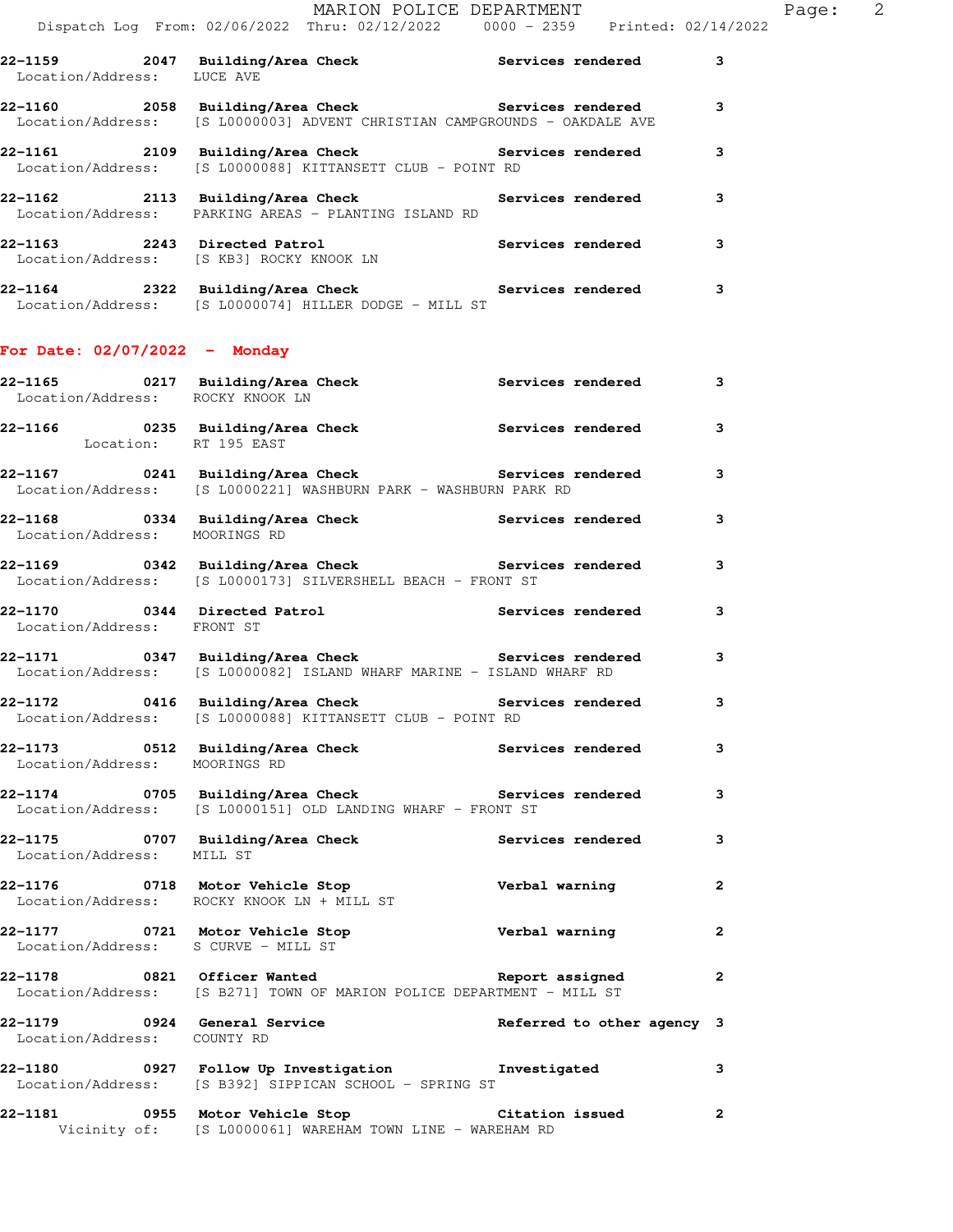| 22-1159 2047 Building/Area Check Services rendered<br>Location/Address: LUCE AVE                                  |                                                                           |                            | 3                       |
|-------------------------------------------------------------------------------------------------------------------|---------------------------------------------------------------------------|----------------------------|-------------------------|
| 22-1160 2058 Building/Area Check Services rendered                                                                | Location/Address: [S L0000003] ADVENT CHRISTIAN CAMPGROUNDS - OAKDALE AVE |                            | 3                       |
| 22-1161 2109 Building/Area Check Services rendered                                                                | Location/Address: [S L0000088] KITTANSETT CLUB - POINT RD                 |                            | 3                       |
| 22-1162 2113 Building/Area Check Services rendered                                                                | Location/Address: PARKING AREAS - PLANTING ISLAND RD                      |                            | 3                       |
| 22-1163 2243 Directed Patrol Services rendered Location/Address: [S KB3] ROCKY KNOOK LN                           |                                                                           |                            | 3                       |
| 22-1164 2322 Building/Area Check<br>Location/Address: [S L0000074] HILLER DODGE - MILL ST                         |                                                                           | Services rendered          | 3                       |
| For Date: $02/07/2022 -$ Monday                                                                                   |                                                                           |                            |                         |
| 22-1165 0217 Building/Area Check Services rendered<br>Location/Address: ROCKY KNOOK LN                            |                                                                           |                            | 3                       |
| 22-1166 <a> 0235</a> Building/Area Check<br>$$\rm{Services\,\,rendered}$<br>Location: RT 195 EAST                 |                                                                           |                            | 3                       |
| 22-1167 0241 Building/Area Check Services rendered                                                                | Location/Address: [S L0000221] WASHBURN PARK - WASHBURN PARK RD           |                            | 3                       |
| 22-1168 0334 Building/Area Check 6 Services rendered<br>Location/Address: MOORINGS RD                             |                                                                           |                            | 3                       |
| 22-1169 0342 Building/Area Check Services rendered                                                                | Location/Address: [S L0000173] SILVERSHELL BEACH - FRONT ST               |                            | 3                       |
| 22-1170 0344 Directed Patrol 5ervices rendered<br>Location/Address: FRONT ST                                      |                                                                           |                            | 3                       |
| 22-1171 0347 Building/Area Check Services rendered                                                                | Location/Address: [S L0000082] ISLAND WHARF MARINE - ISLAND WHARF RD      |                            | 3                       |
| 22-1172 0416 Building/Area Check                                                                                  | Location/Address: [S L0000088] KITTANSETT CLUB - POINT RD                 | Services rendered          | 3                       |
| 22-1173 0512 Building/Area Check Services rendered<br>Location/Address: MOORINGS RD                               |                                                                           |                            | $\mathbf{3}$            |
| 22-1174 0705 Building/Area Check Services rendered<br>Location/Address: [S L0000151] OLD LANDING WHARF - FRONT ST |                                                                           |                            | $\mathbf{3}$            |
| 22-1175 0707 Building/Area Check<br>Location/Address: MILL ST                                                     |                                                                           | Services rendered          | $\mathbf{3}$            |
| 22-1176 0718 Motor Vehicle Stop<br>Location/Address: ROCKY KNOOK LN + MILL ST                                     |                                                                           | Verbal warning             | $\overline{\mathbf{2}}$ |
| 22-1177 121 Motor Vehicle Stop 121 Verbal warning<br>Location/Address: S CURVE - MILL ST                          |                                                                           |                            | $\overline{\mathbf{2}}$ |
| 22-1178 0821 Officer Wanted <b>Example 2</b> Report assigned 2                                                    | Location/Address: [S B271] TOWN OF MARION POLICE DEPARTMENT - MILL ST     |                            |                         |
| 22-1179 0924 General Service<br>Location/Address: COUNTY RD                                                       |                                                                           | Referred to other agency 3 |                         |
| 22-1180 0927 Follow Up Investigation threstigated                                                                 | Location/Address: [S B392] SIPPICAN SCHOOL - SPRING ST                    |                            | 3                       |
| 22-1181 		 0955 Motor Vehicle Stop 		 Citation issued<br>Vicinity of: [S L0000061] WAREHAM TOWN LINE - WAREHAM RD |                                                                           |                            | $\mathbf{2}$            |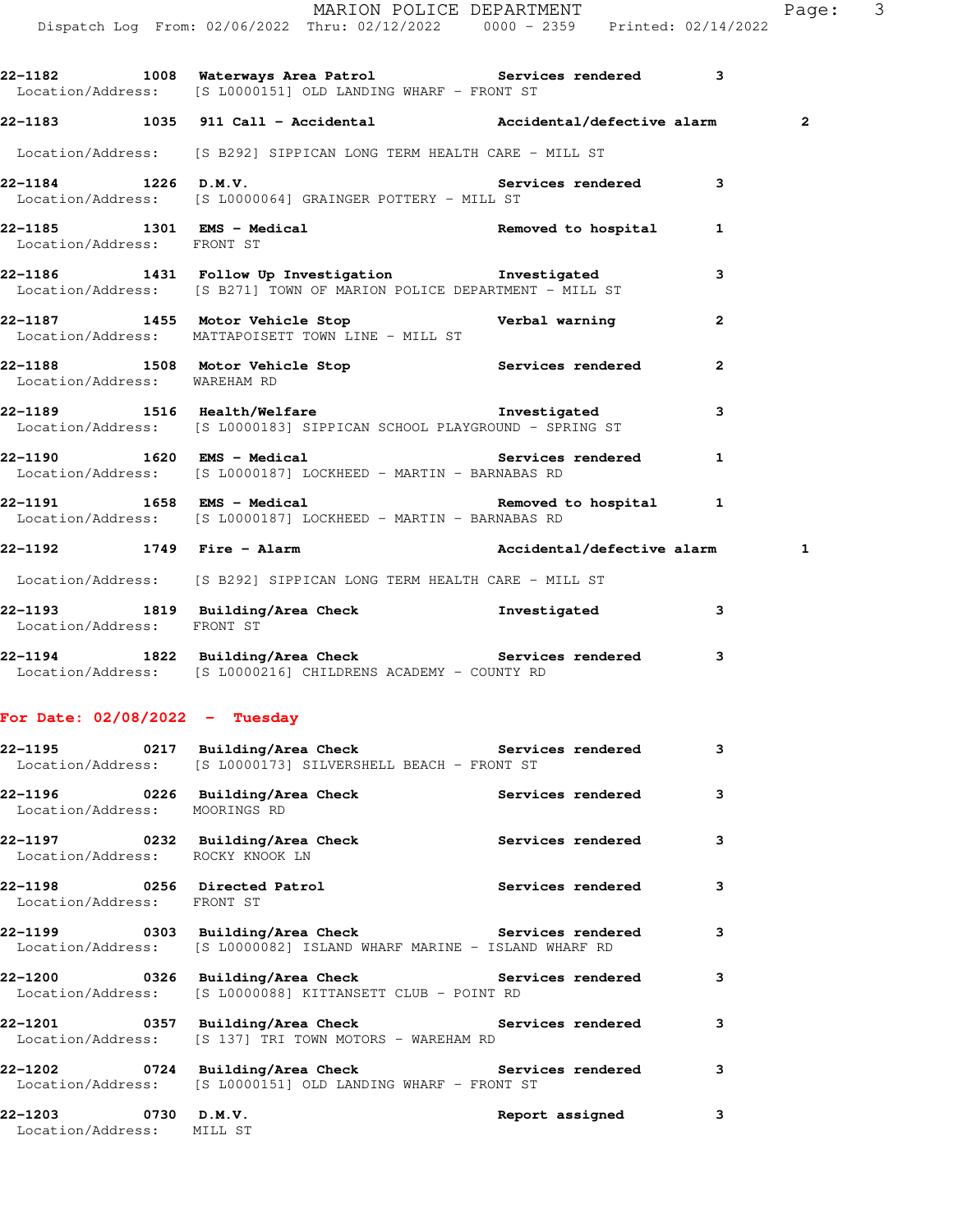|                                  | Dispatch Log From: 02/06/2022 Thru: 02/12/2022   0000 - 2359   Printed: 02/14/2022                                                        |                          |              |                         |
|----------------------------------|-------------------------------------------------------------------------------------------------------------------------------------------|--------------------------|--------------|-------------------------|
|                                  | 22-1182 1008 Waterways Area Patrol Services rendered 3<br>Location/Address: [S L0000151] OLD LANDING WHARF - FRONT ST                     |                          |              |                         |
|                                  | 22-1183 1035 911 Call - Accidental Maccidental/defective alarm                                                                            |                          |              | $\overline{\mathbf{2}}$ |
|                                  | Location/Address: [S B292] SIPPICAN LONG TERM HEALTH CARE - MILL ST                                                                       |                          |              |                         |
| 22-1184 1226 D.M.V.              | Location/Address: [S L0000064] GRAINGER POTTERY - MILL ST                                                                                 | Services rendered 3      |              |                         |
| Location/Address: FRONT ST       | 22-1185 1301 EMS - Medical 1 22-1185 Removed to hospital 1                                                                                |                          |              |                         |
|                                  | 22-1186 1431 Follow Up Investigation 1nvestigated<br>Location/Address: [S B271] TOWN OF MARION POLICE DEPARTMENT - MILL ST                |                          | 3            |                         |
|                                  | 22-1187 1455 Motor Vehicle Stop Nerbal warning<br>Location/Address: MATTAPOISETT TOWN LINE - MILL ST                                      |                          | $\mathbf{2}$ |                         |
| Location/Address: WAREHAM RD     | 22-1188 1508 Motor Vehicle Stop 1988 Services rendered                                                                                    |                          | $\mathbf{2}$ |                         |
|                                  | Location/Address: [S L0000183] SIPPICAN SCHOOL PLAYGROUND - SPRING ST                                                                     |                          | 3            |                         |
|                                  | 22-1190 1620 EMS - Medical New Services rendered<br>Location/Address: [S L0000187] LOCKHEED - MARTIN - BARNABAS RD                        |                          | 1            |                         |
|                                  | 22-1191 1658 EMS - Medical 1 22-1191 22-1191 1<br>Location/Address: [S L0000187] LOCKHEED - MARTIN - BARNABAS RD                          |                          |              |                         |
|                                  | 22-1192 1749 Fire - Alarm National Accidental/defective alarm                                                                             |                          |              | 1                       |
|                                  | Location/Address: [S B292] SIPPICAN LONG TERM HEALTH CARE - MILL ST                                                                       |                          |              |                         |
| Location/Address: FRONT ST       | 22-1193 1819 Building/Area Check 1nvestigated                                                                                             |                          | 3            |                         |
|                                  | 22-1194 1822 Building/Area Check Services rendered 3<br>Location/Address: [S L0000216] CHILDRENS ACADEMY - COUNTY RD                      |                          |              |                         |
| For Date: $02/08/2022 - Tuesday$ |                                                                                                                                           |                          |              |                         |
|                                  | 22-1195 		 0217 Building/Area Check 		 Services rendered<br>Location/Address: [S L0000173] SILVERSHELL BEACH - FRONT ST                   |                          | 3            |                         |
| Location/Address: MOORINGS RD    | 22-1196 0226 Building/Area Check                                                                                                          | <b>Services rendered</b> | 3            |                         |
|                                  | 22-1197 		 0232 Building/Area Check 		 Services rendered<br>Location/Address: ROCKY KNOOK LN                                              |                          | 3            |                         |
| Location/Address: FRONT ST       | 22-1198 0256 Directed Patrol                                                                                                              | Services rendered        | 3            |                         |
|                                  | 22-1199      0303  Building/Area Check          Services rendered<br>Location/Address: [S L0000082] ISLAND WHARF MARINE - ISLAND WHARF RD |                          | 3            |                         |
|                                  | 22-1200 0326 Building/Area Check <b>Services</b> rendered<br>Location/Address: [S L0000088] KITTANSETT CLUB - POINT RD                    |                          | 3            |                         |
|                                  | 22-1201       0357  Building/Area Check          Services rendered<br>Location/Address: [S 137] TRI TOWN MOTORS - WAREHAM RD              |                          | 3            |                         |
| 22-1202                          | 0724 Building/Area Check Services rendered<br>Location/Address: [S L0000151] OLD LANDING WHARF - FRONT ST                                 |                          | 3            |                         |
| 22-1203                          | $0730$ D.M.V.                                                                                                                             | Report assigned          | 3            |                         |

Location/Address: MILL ST

MARION POLICE DEPARTMENT Page: 3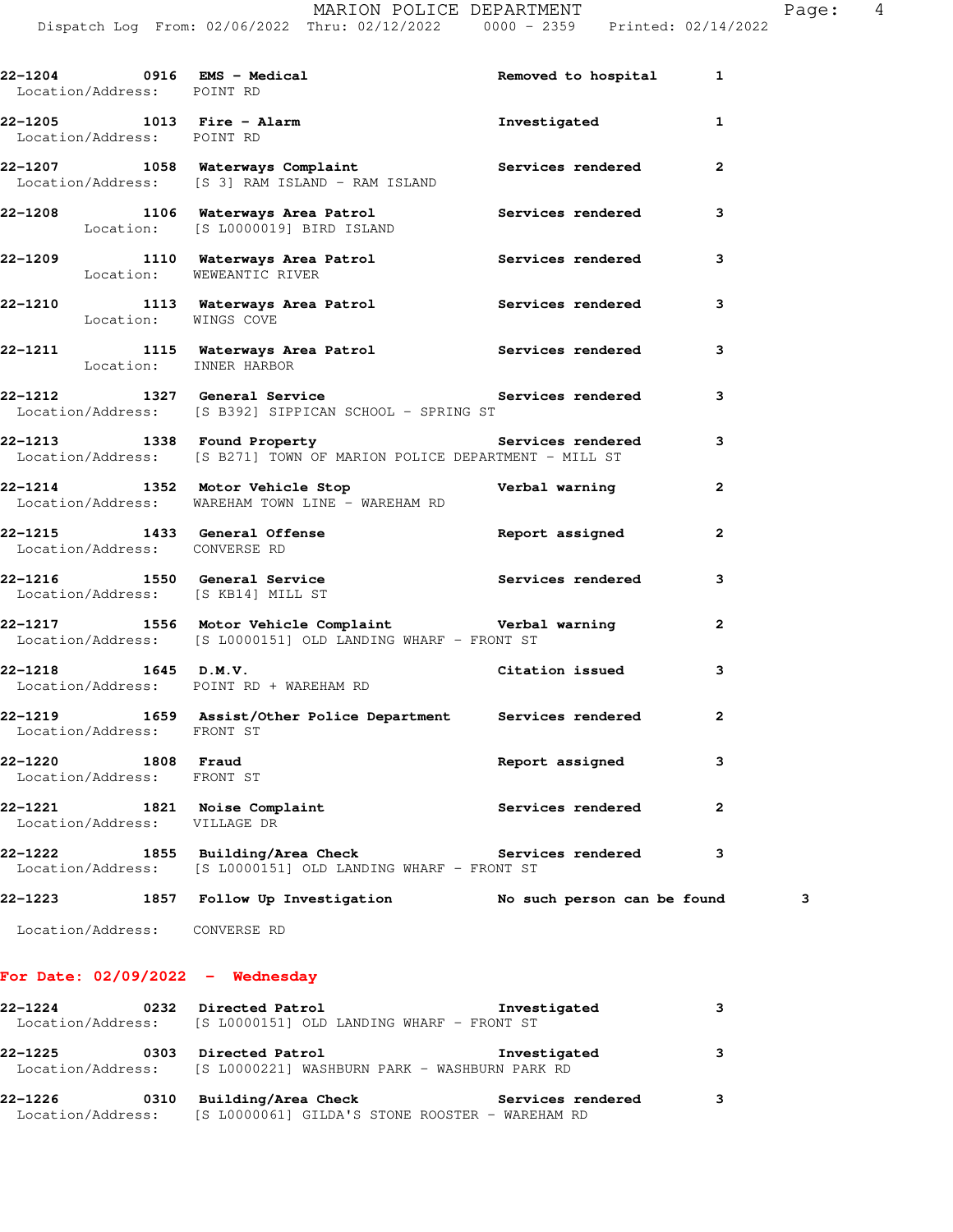| Location/Address: POINT RD         | 22-1204 0916 EMS - Medical and the Removed to hospital 1                                                                               |                             |                |
|------------------------------------|----------------------------------------------------------------------------------------------------------------------------------------|-----------------------------|----------------|
| Location/Address: POINT RD         | 22-1205 1013 Fire - Alarm 1013 Finvestigated                                                                                           |                             | $\mathbf{1}$   |
|                                    | 22-1207 1058 Waterways Complaint <b>120 Services</b> rendered<br>Location/Address: [S 3] RAM ISLAND - RAM ISLAND                       |                             | $\overline{2}$ |
|                                    | 22-1208 1106 Waterways Area Patrol 1106 Services rendered<br>Location: [S L0000019] BIRD ISLAND                                        |                             | 3              |
|                                    | 22-1209 1110 Waterways Area Patrol Services rendered Location: WEWEANTIC RIVER                                                         |                             | $\mathbf{3}$   |
| Location: WINGS COVE               | 22-1210 1113 Waterways Area Patrol 112 Services rendered                                                                               |                             | 3              |
| Location: INNER HARBOR             | 22-1211 1115 Waterways Area Patrol 1115 Services rendered                                                                              |                             | 3              |
|                                    | 22-1212 1327 General Service and Services rendered<br>Location/Address: [S B392] SIPPICAN SCHOOL - SPRING ST                           |                             | 3              |
|                                    | 22-1213 1338 Found Property <b>12.12.13 Services rendered</b><br>Location/Address: [S B271] TOWN OF MARION POLICE DEPARTMENT - MILL ST |                             | 3              |
|                                    | 22-1214 1352 Motor Vehicle Stop <b>Verbal warning</b><br>Location/Address: WAREHAM TOWN LINE - WAREHAM RD                              |                             | $\mathbf{2}$   |
| Location/Address: CONVERSE RD      | 22-1215 1433 General Offense <b>120 Contains the Separate Separate A</b> Report assigned                                               |                             | $\overline{2}$ |
| Location/Address: [S KB14] MILL ST | 22-1216 1550 General Service Services rendered                                                                                         |                             | 3              |
|                                    | 22-1217 1556 Motor Vehicle Complaint Verbal warning<br>Location/Address: [S L0000151] OLD LANDING WHARF - FRONT ST                     |                             | 2              |
|                                    | 22-1218 1645 D.M.V.<br>Location/Address: POINT RD + WAREHAM RD<br>Location/Address: POINT RD + WAREHAM RD                              |                             | 3              |
| Location/Address: FRONT ST         | 22-1219 1659 Assist/Other Police Department Services rendered                                                                          |                             | $\mathbf{2}$   |
| 22-1220<br>Location/Address:       | 1808 Fraud<br>FRONT ST                                                                                                                 | Report assigned             | 3              |
| 22-1221<br>Location/Address:       | 1821 Noise Complaint<br>VILLAGE DR                                                                                                     | Services rendered           | $\mathbf{2}$   |
| 22-1222<br>Location/Address:       | 1855 Building/Area Check Services rendered<br>[S L0000151] OLD LANDING WHARF - FRONT ST                                                |                             | з              |
| 22-1223                            | 1857 Follow Up Investigation                                                                                                           | No such person can be found | з              |
| Location/Address:                  | CONVERSE RD                                                                                                                            |                             |                |

## **For Date: 02/09/2022 - Wednesday**

| $22 - 1224$ | 0232 | Directed Patrol                                                   | Investigated      |   |
|-------------|------|-------------------------------------------------------------------|-------------------|---|
|             |      | Location/Address: [S L0000151] OLD LANDING WHARF - FRONT ST       |                   |   |
| 22-1225     | 0303 | Directed Patrol                                                   | Investigated      |   |
|             |      | Location/Address: [S L0000221] WASHBURN PARK - WASHBURN PARK RD   |                   |   |
| 22-1226     | 0310 | Building/Area Check                                               | Services rendered | 3 |
|             |      | Location/Address: [S L0000061] GILDA'S STONE ROOSTER - WAREHAM RD |                   |   |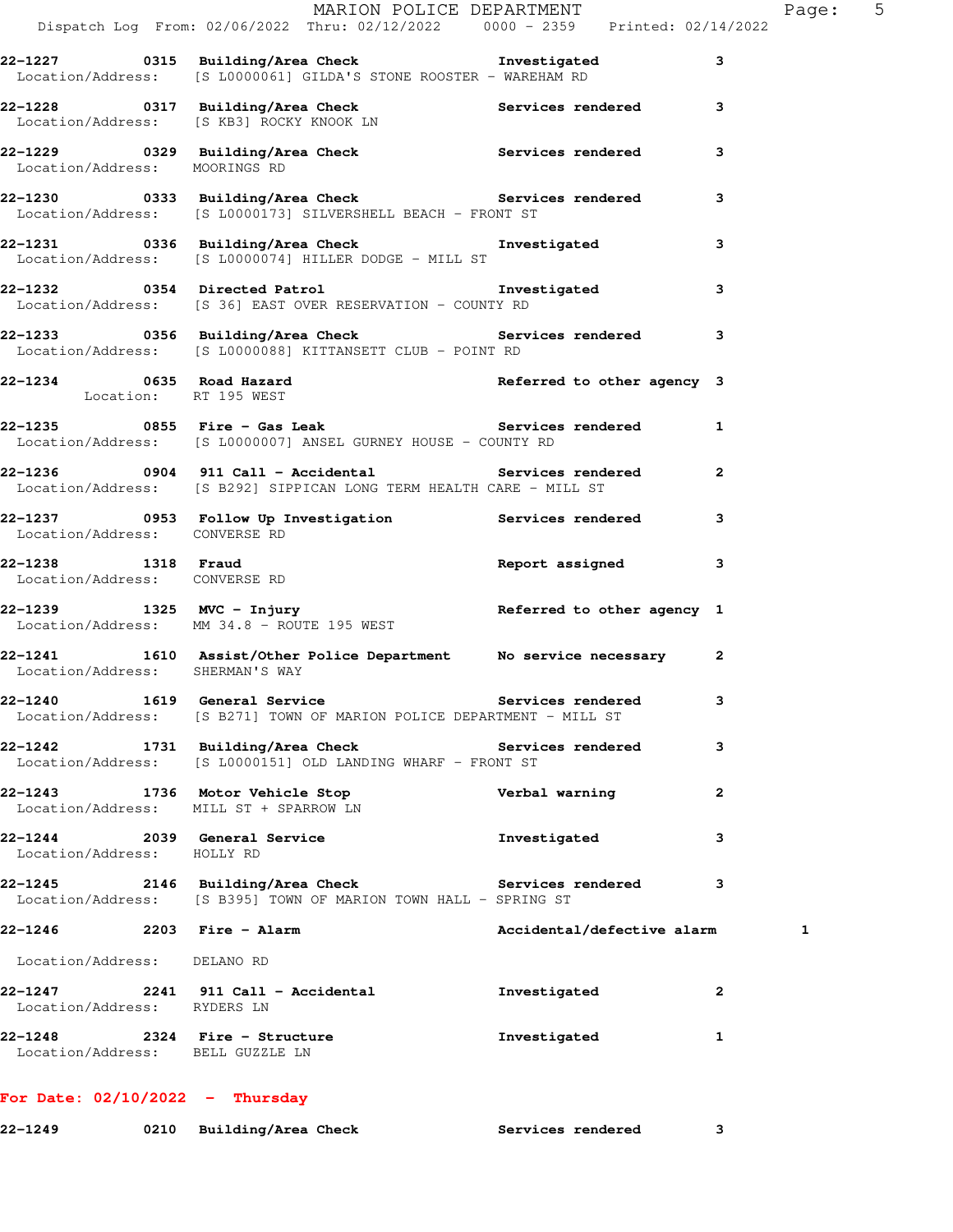|                                                                   | Dispatch Log From: 02/06/2022 Thru: 02/12/2022   0000 - 2359   Printed: 02/14/2022                                                 | MARION POLICE DEPARTMENT   | Page: 5      |
|-------------------------------------------------------------------|------------------------------------------------------------------------------------------------------------------------------------|----------------------------|--------------|
|                                                                   | 22-1227 0315 Building/Area Check <b>The Investigated</b><br>Location/Address: [S L0000061] GILDA'S STONE ROOSTER - WAREHAM RD      |                            | 3            |
|                                                                   | 22-1228 0317 Building/Area Check 6 Services rendered 3<br>Location/Address: [S KB3] ROCKY KNOOK LN                                 |                            |              |
|                                                                   |                                                                                                                                    |                            | 3            |
|                                                                   | 22-1230 0333 Building/Area Check Services rendered<br>Location/Address: [S L0000173] SILVERSHELL BEACH - FRONT ST                  |                            | 3            |
|                                                                   | 22-1231 0336 Building/Area Check Investigated<br>Location/Address: [S L0000074] HILLER DODGE - MILL ST                             |                            | 3            |
|                                                                   | 22-1232 0354 Directed Patrol <b>120 External 12 Setupated</b><br>Location/Address: [S 36] EAST OVER RESERVATION - COUNTY RD        |                            | 3            |
|                                                                   | 22-1233 0356 Building/Area Check <b>Services</b> rendered 3<br>Location/Address: [S L0000088] KITTANSETT CLUB - POINT RD           |                            |              |
| Location: RT 195 WEST                                             | 22-1234 0635 Road Hazard <b>1988 Communist Communist Paragency</b> 3                                                               |                            |              |
|                                                                   | 22-1235 0855 Fire - Gas Leak <b>Services</b> rendered 1<br>Location/Address: [S L0000007] ANSEL GURNEY HOUSE - COUNTY RD           |                            |              |
|                                                                   | 22-1236 		 0904 911 Call - Accidental 			 Services rendered<br>Location/Address: [S B292] SIPPICAN LONG TERM HEALTH CARE - MILL ST |                            | $\mathbf{2}$ |
| Location/Address: CONVERSE RD                                     | 22-1237 10953 Follow Up Investigation Services rendered                                                                            |                            | 3            |
| Location/Address: CONVERSE RD                                     | 22-1238 1318 Fraud 1997 assigned                                                                                                   |                            | 3            |
|                                                                   | 22-1239 1325 MVC - Injury<br>Location/Address: MM 34.8 - ROUTE 195 WEST Referred to other agency 1                                 |                            |              |
|                                                                   | 22-1241 1610 Assist/Other Police Department No service necessary 2<br>Location/Address: SHERMAN'S WAY                              |                            |              |
|                                                                   | 22-1240 1619 General Service and Services rendered<br>Location/Address: [S B271] TOWN OF MARION POLICE DEPARTMENT - MILL ST        |                            |              |
|                                                                   | 22-1242 1731 Building/Area Check Services rendered<br>Location/Address: [S L0000151] OLD LANDING WHARF - FRONT ST                  |                            | 3            |
|                                                                   | 22-1243 1736 Motor Vehicle Stop<br>Location/Address: MILL ST + SPARROW LN                                                          | Verbal warning             | $\mathbf{2}$ |
| Location/Address: HOLLY RD                                        | 22-1244 2039 General Service                                                                                                       | Investigated               | 3            |
|                                                                   | 22-1245 2146 Building/Area Check Services rendered<br>Location/Address: [S B395] TOWN OF MARION TOWN HALL - SPRING ST              |                            | 3            |
| 22-1246 2203 Fire - Alarm                                         |                                                                                                                                    | Accidental/defective alarm | 1            |
| Location/Address: DELANO RD                                       |                                                                                                                                    |                            |              |
| Location/Address: RYDERS LN                                       | 22-1247 2241 911 Call - Accidental                                                                                                 | Investigated               | $\mathbf{2}$ |
| 22-1248 2324 Fire - Structure<br>Location/Address: BELL GUZZLE LN |                                                                                                                                    | Investigated               | 1            |
| For Date: $02/10/2022 - Thursday$                                 |                                                                                                                                    |                            |              |

**22-1249 0210 Building/Area Check Services rendered 3**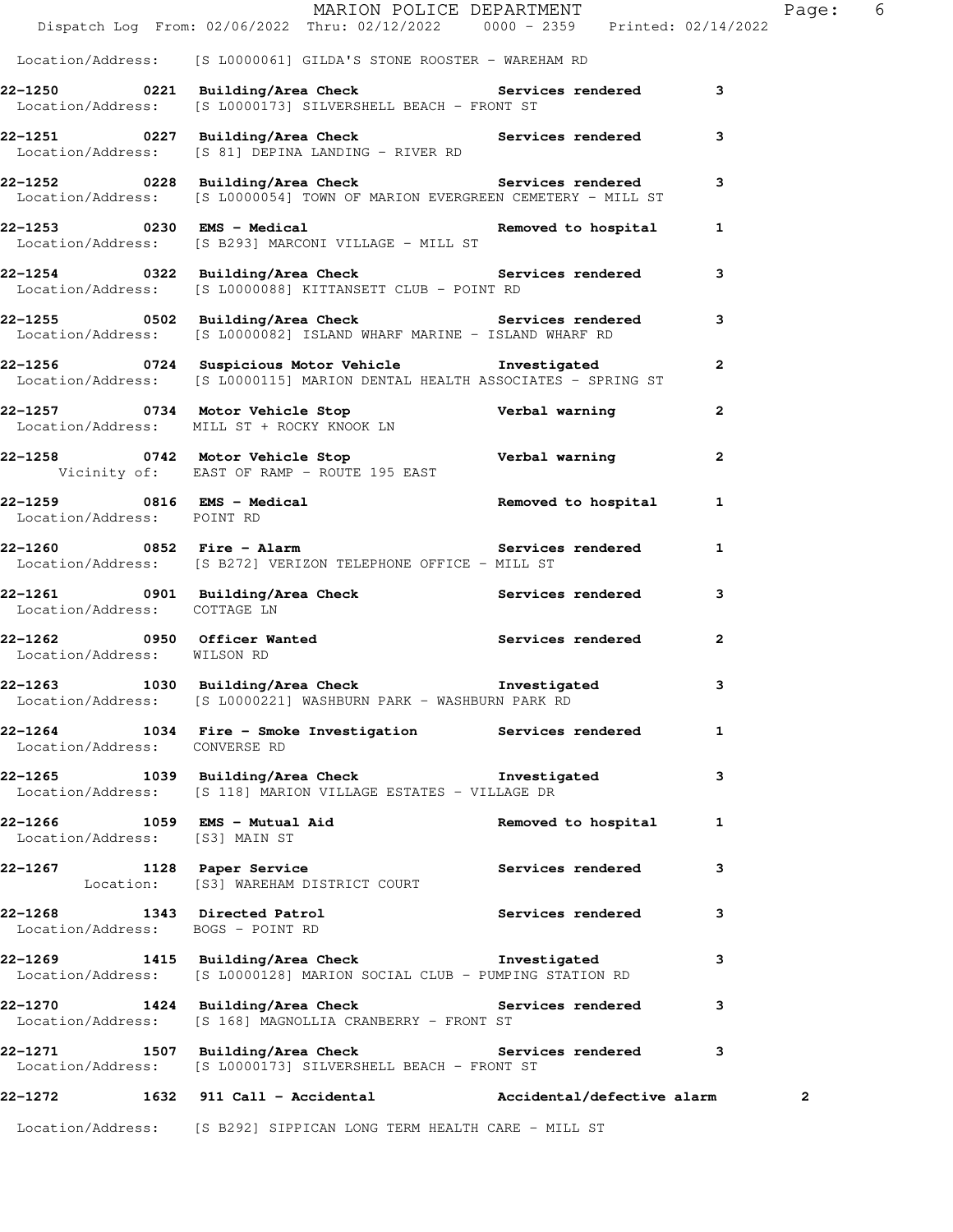|                                   | Dispatch Log From: 02/06/2022 Thru: 02/12/2022 0000 - 2359 Printed: 02/14/2022                                                         | MARION POLICE DEPARTMENT |                         | Page: 6        |  |
|-----------------------------------|----------------------------------------------------------------------------------------------------------------------------------------|--------------------------|-------------------------|----------------|--|
|                                   | Location/Address: [S L0000061] GILDA'S STONE ROOSTER - WAREHAM RD                                                                      |                          |                         |                |  |
|                                   | 22-1250 			 0221 Building/Area Check 			 Services rendered 		 3                                                                        |                          |                         |                |  |
|                                   | Location/Address: [S L0000173] SILVERSHELL BEACH - FRONT ST                                                                            |                          |                         |                |  |
|                                   | 22-1251 0227 Building/Area Check 5 Services rendered 3<br>Location/Address: [S 81] DEPINA LANDING - RIVER RD                           |                          |                         |                |  |
|                                   | 22-1252 0228 Building/Area Check 5ervices rendered 3<br>Location/Address: [S L0000054] TOWN OF MARION EVERGREEN CEMETERY - MILL ST     |                          |                         |                |  |
|                                   | 22-1253 0230 EMS - Medical contracts are not all the Removed to hospital the 1<br>Location/Address: [S B293] MARCONI VILLAGE - MILL ST |                          |                         |                |  |
|                                   | 22-1254 0322 Building/Area Check 5ervices rendered 3<br>Location/Address: [S L0000088] KITTANSETT CLUB - POINT RD                      |                          |                         |                |  |
|                                   | 22-1255 0502 Building/Area Check 1997 Services rendered 3<br>Location/Address: [S L0000082] ISLAND WHARF MARINE - ISLAND WHARF RD      |                          |                         |                |  |
|                                   | 22-1256 0724 Suspicious Motor Vehicle Chronicated<br>Location/Address: [S L0000115] MARION DENTAL HEALTH ASSOCIATES - SPRING ST        |                          | $\mathbf{2}$            |                |  |
|                                   | 22-1257 0734 Motor Vehicle Stop Verbal warning<br>Location/Address: MILL ST + ROCKY KNOOK LN                                           |                          | $\overline{\mathbf{2}}$ |                |  |
|                                   | 22-1258 0742 Motor Vehicle Stop Nerbal warning<br>Vicinity of: EAST OF RAMP - ROUTE 195 EAST                                           |                          | $\mathbf{2}$            |                |  |
| Location/Address: POINT RD        | $22-1259$ 0816 EMS - Medical Removed to hospital 1<br>Location/Address: POINT RD                                                       |                          |                         |                |  |
|                                   | -<br>22-1260      0852   Fire - Alarm             Services rendered<br>Location/Address: [S B272] VERIZON TELEPHONE OFFICE - MILL ST   |                          | 1                       |                |  |
| Location/Address: COTTAGE LN      | 22-1261 0901 Building/Area Check 5ervices rendered 3                                                                                   |                          |                         |                |  |
| Location/Address: WILSON RD       | 22-1262 0950 Officer Wanted Services rendered                                                                                          |                          | 2                       |                |  |
|                                   | 22-1263 1030 Building/Area Check 1nvestigated<br>Location/Address: [S L0000221] WASHBURN PARK - WASHBURN PARK RD                       |                          | 3                       |                |  |
| Location/Address: CONVERSE RD     | 22-1264 1034 Fire - Smoke Investigation Services rendered                                                                              |                          | 1                       |                |  |
|                                   | 22-1265 1039 Building/Area Check threstigated<br>Location/Address: [S 118] MARION VILLAGE ESTATES - VILLAGE DR                         |                          | 3                       |                |  |
| Location/Address: [S3] MAIN ST    | 22-1266 1059 EMS - Mutual Aid                                                                                                          | Removed to hospital      | $\mathbf{1}$            |                |  |
|                                   | 22-1267 1128 Paper Service<br>Location: [S3] WAREHAM DISTRICT COURT                                                                    | Services rendered        | 3                       |                |  |
| Location/Address: BOGS - POINT RD | 22-1268 1343 Directed Patrol 22-1268 rendered                                                                                          |                          | 3                       |                |  |
|                                   | 22-1269 1415 Building/Area Check 11 Investigated 3<br>Location/Address: [S L0000128] MARION SOCIAL CLUB - PUMPING STATION RD           |                          |                         |                |  |
|                                   | 22-1270 1424 Building/Area Check Services rendered<br>Location/Address: [S 168] MAGNOLLIA CRANBERRY - FRONT ST                         |                          | 3                       |                |  |
|                                   | 22-1271 1507 Building/Area Check 21 Services rendered 3<br>Location/Address: [S L0000173] SILVERSHELL BEACH - FRONT ST                 |                          |                         |                |  |
|                                   | 22-1272 1632 911 Call - Accidental Maccidental/defective alarm                                                                         |                          |                         | $\overline{2}$ |  |
|                                   | Location/Address: [S B292] SIPPICAN LONG TERM HEALTH CARE - MILL ST                                                                    |                          |                         |                |  |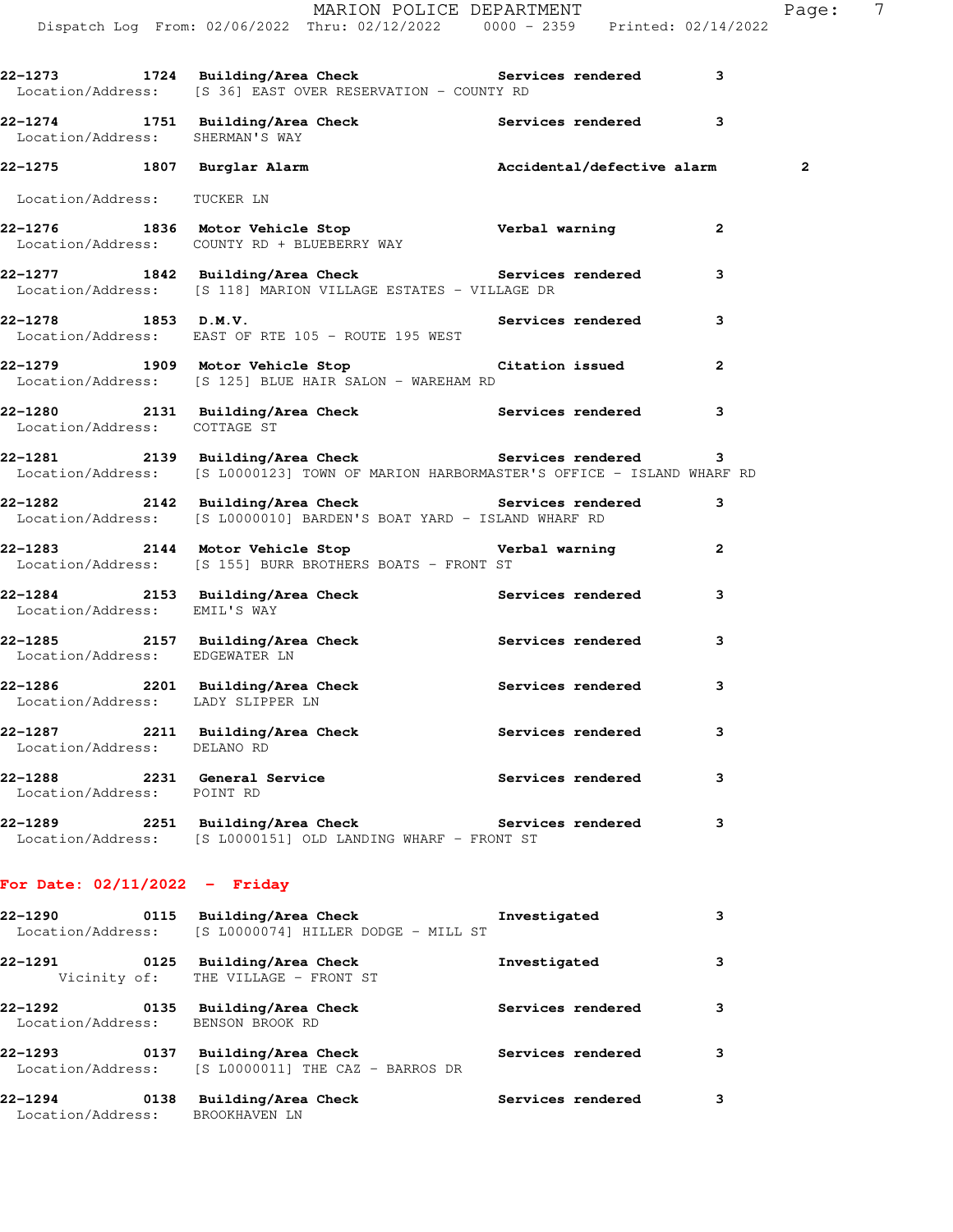|                                   | THILL ON LOLLLOL DILITION.<br>Dispatch Log From: 02/06/2022 Thru: 02/12/2022 0000 - 2359 Printed: 02/14/2022                                          |              |                   |              |                         |
|-----------------------------------|-------------------------------------------------------------------------------------------------------------------------------------------------------|--------------|-------------------|--------------|-------------------------|
|                                   | 22-1273 1724 Building/Area Check Services rendered 3<br>Location/Address: [S 36] EAST OVER RESERVATION - COUNTY RD                                    |              |                   |              |                         |
| Location/Address: SHERMAN'S WAY   | 22-1274 1751 Building/Area Check <b>Services</b> rendered 3                                                                                           |              |                   |              |                         |
|                                   | 22-1275 1807 Burglar Alarm Necidental/defective alarm                                                                                                 |              |                   |              | $\overline{\mathbf{c}}$ |
| Location/Address: TUCKER LN       |                                                                                                                                                       |              |                   |              |                         |
|                                   | 22-1276 1836 Motor Vehicle Stop Verbal warning<br>Location/Address: COUNTY RD + BLUEBERRY WAY                                                         |              |                   | $\mathbf{2}$ |                         |
|                                   | 22-1277 1842 Building/Area Check Services rendered<br>Location/Address: [S 118] MARION VILLAGE ESTATES - VILLAGE DR                                   |              |                   | 3            |                         |
|                                   | 22-1278 1853 D.M.V. Services rendered<br>Location/Address: EAST OF RTE 105 - ROUTE 195 WEST                                                           |              |                   | 3            |                         |
|                                   | 22-1279 1909 Motor Vehicle Stop Citation issued<br>Location/Address: [S 125] BLUE HAIR SALON - WAREHAM RD                                             |              |                   | $\mathbf{2}$ |                         |
| Location/Address: COTTAGE ST      | 22-1280 2131 Building/Area Check Services rendered                                                                                                    |              |                   | 3            |                         |
|                                   | 22-1281 2139 Building/Area Check 22-1281 Services rendered 3<br>Location/Address: [S L0000123] TOWN OF MARION HARBORMASTER'S OFFICE - ISLAND WHARF RD |              |                   |              |                         |
|                                   | 22-1282 2142 Building/Area Check Services rendered<br>Location/Address: [S L0000010] BARDEN'S BOAT YARD - ISLAND WHARF RD                             |              |                   | 3            |                         |
|                                   | 22-1283 2144 Motor Vehicle Stop Nerbal warning<br>Location/Address: [S 155] BURR BROTHERS BOATS - FRONT ST                                            |              |                   | $\mathbf{2}$ |                         |
| Location/Address: EMIL'S WAY      | 22-1284 2153 Building/Area Check Services rendered                                                                                                    |              |                   | 3            |                         |
| Location/Address: EDGEWATER LN    | 22-1285 2157 Building/Area Check 2157 Services rendered                                                                                               |              |                   | 3            |                         |
| Location/Address: LADY SLIPPER LN | 22-1286 2201 Building/Area Check Services rendered                                                                                                    |              |                   | 3            |                         |
| Location/Address: DELANO RD       | 22-1287 2211 Building/Area Check                                                                                                                      |              | Services rendered | 3            |                         |
| Location/Address: POINT RD        | 22-1288 2231 General Service                                                                                                                          |              | Services rendered | 3            |                         |
|                                   | 22-1289 2251 Building/Area Check Services rendered<br>Location/Address: [S L0000151] OLD LANDING WHARF - FRONT ST                                     |              |                   | 3            |                         |
| For Date: $02/11/2022 -$ Friday   |                                                                                                                                                       |              |                   |              |                         |
| 22-1290                           | 0115 Building/Area Check<br>Location/Address: [S L0000074] HILLER DODGE - MILL ST                                                                     | Investigated |                   | 3            |                         |
| Vicinity of:                      | 22-1291 0125 Building/Area Check<br>THE VILLAGE - FRONT ST                                                                                            | Investigated |                   | 3            |                         |

**22-1292 0135 Building/Area Check Services rendered 3**  Location/Address: BENSON BROOK RD **22-1293 0137 Building/Area Check Services rendered 3**  Location/Address: [S L0000011] THE CAZ - BARROS DR **22-1294 0138 Building/Area Check Services rendered 3** 

Location/Address: BROOKHAVEN LN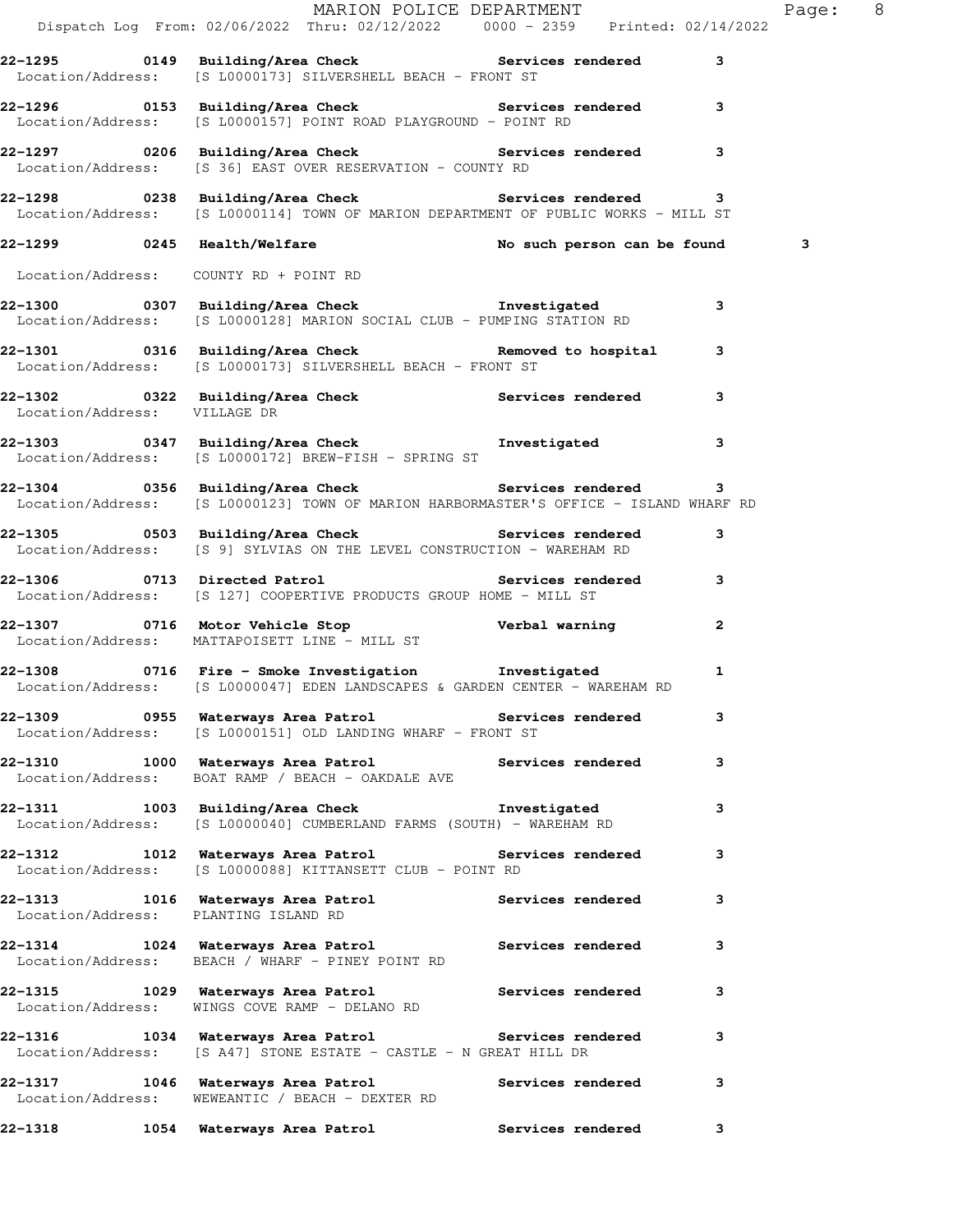|                                      |                                                                                                                                                    | MARION POLICE DEPARTMENT | Page: 8 |
|--------------------------------------|----------------------------------------------------------------------------------------------------------------------------------------------------|--------------------------|---------|
|                                      | Dispatch Log From: 02/06/2022 Thru: 02/12/2022 0000 - 2359 Printed: 02/14/2022                                                                     |                          |         |
|                                      | 22-1295 		 0149 Building/Area Check 		 Services rendered<br>Location/Address: [S L0000173] SILVERSHELL BEACH - FRONT ST                            | 3                        |         |
|                                      | 22-1296 		 0153 Building/Area Check 		 Services rendered 3<br>Location/Address: [S L0000157] POINT ROAD PLAYGROUND - POINT RD                      |                          |         |
|                                      | Location/Address: [S 36] EAST OVER RESERVATION - COUNTY RD                                                                                         |                          |         |
|                                      | 22-1298 0238 Building/Area Check Services rendered 3<br>Location/Address: [S L0000114] TOWN OF MARION DEPARTMENT OF PUBLIC WORKS - MILL ST         |                          |         |
|                                      | 22-1299 0245 Health/Welfare No such person can be found                                                                                            |                          | 3       |
|                                      | Location/Address: COUNTY RD + POINT RD                                                                                                             |                          |         |
|                                      | 22-1300 0307 Building/Area Check <b>The Investigated</b><br>Location/Address: [S L0000128] MARION SOCIAL CLUB - PUMPING STATION RD                 | 3                        |         |
|                                      | 22-1301 0316 Building/Area Check <b>Removed</b> to hospital 3<br>Location/Address: [S L0000173] SILVERSHELL BEACH - FRONT ST                       |                          |         |
| Location/Address: VILLAGE DR         | 22-1302 0322 Building/Area Check Services rendered                                                                                                 | 3                        |         |
|                                      | 22-1303 0347 Building/Area Check <b>The Investigated</b><br>Location/Address: [S L0000172] BREW-FISH - SPRING ST                                   | 3                        |         |
|                                      | 22-1304 0356 Building/Area Check <b>Services</b> rendered<br>Location/Address: [S L0000123] TOWN OF MARION HARBORMASTER'S OFFICE - ISLAND WHARF RD | 3                        |         |
|                                      | 22-1305 0503 Building/Area Check Check Services rendered<br>Location/Address: [S 9] SYLVIAS ON THE LEVEL CONSTRUCTION - WAREHAM RD                 | 3                        |         |
|                                      | 22-1306 0713 Directed Patrol <b>Services</b> rendered 3<br>Location/Address: [S 127] COOPERTIVE PRODUCTS GROUP HOME - MILL ST                      |                          |         |
|                                      | 22-1307 0716 Motor Vehicle Stop<br>Location/Address: MATTAPOISETT LINE - MILL ST Verbal warning                                                    | $\mathbf{2}$             |         |
|                                      | Location/Address: [S L0000047] EDEN LANDSCAPES & GARDEN CENTER - WAREHAM RD                                                                        | $\mathbf{1}$             |         |
|                                      | 22-1309 		 0955 Waterways Area Patrol 		 Services rendered<br>Location/Address: [S L0000151] OLD LANDING WHARF - FRONT ST                          | 3                        |         |
|                                      | 22-1310 1000 Waterways Area Patrol Services rendered<br>Location/Address: BOAT RAMP / BEACH - OAKDALE AVE                                          | 3                        |         |
|                                      | 22-1311 1003 Building/Area Check 1nvestigated<br>Location/Address: [S L0000040] CUMBERLAND FARMS (SOUTH) - WAREHAM RD                              | 3                        |         |
|                                      | 22-1312 1012 Waterways Area Patrol Services rendered<br>Location/Address: [S L0000088] KITTANSETT CLUB - POINT RD                                  | 3                        |         |
| Location/Address: PLANTING ISLAND RD | 22-1313 1016 Waterways Area Patrol 1997 Services rendered                                                                                          | 3                        |         |
|                                      | 22-1314 1024 Waterways Area Patrol Services rendered<br>Location/Address: BEACH / WHARF - PINEY POINT RD                                           | 3                        |         |
|                                      | 22-1315 1029 Waterways Area Patrol Services rendered<br>Location/Address: WINGS COVE RAMP - DELANO RD                                              | 3                        |         |
|                                      | 22-1316 1034 Waterways Area Patrol Services rendered<br>Location/Address: [S A47] STONE ESTATE - CASTLE - N GREAT HILL DR                          | 3                        |         |
|                                      | 22-1317 1046 Waterways Area Patrol Services rendered<br>Location/Address: WEWEANTIC / BEACH - DEXTER RD                                            | 3                        |         |
| 22-1318                              | 1054 Waterways Area Patrol Manuel Services rendered                                                                                                | 3                        |         |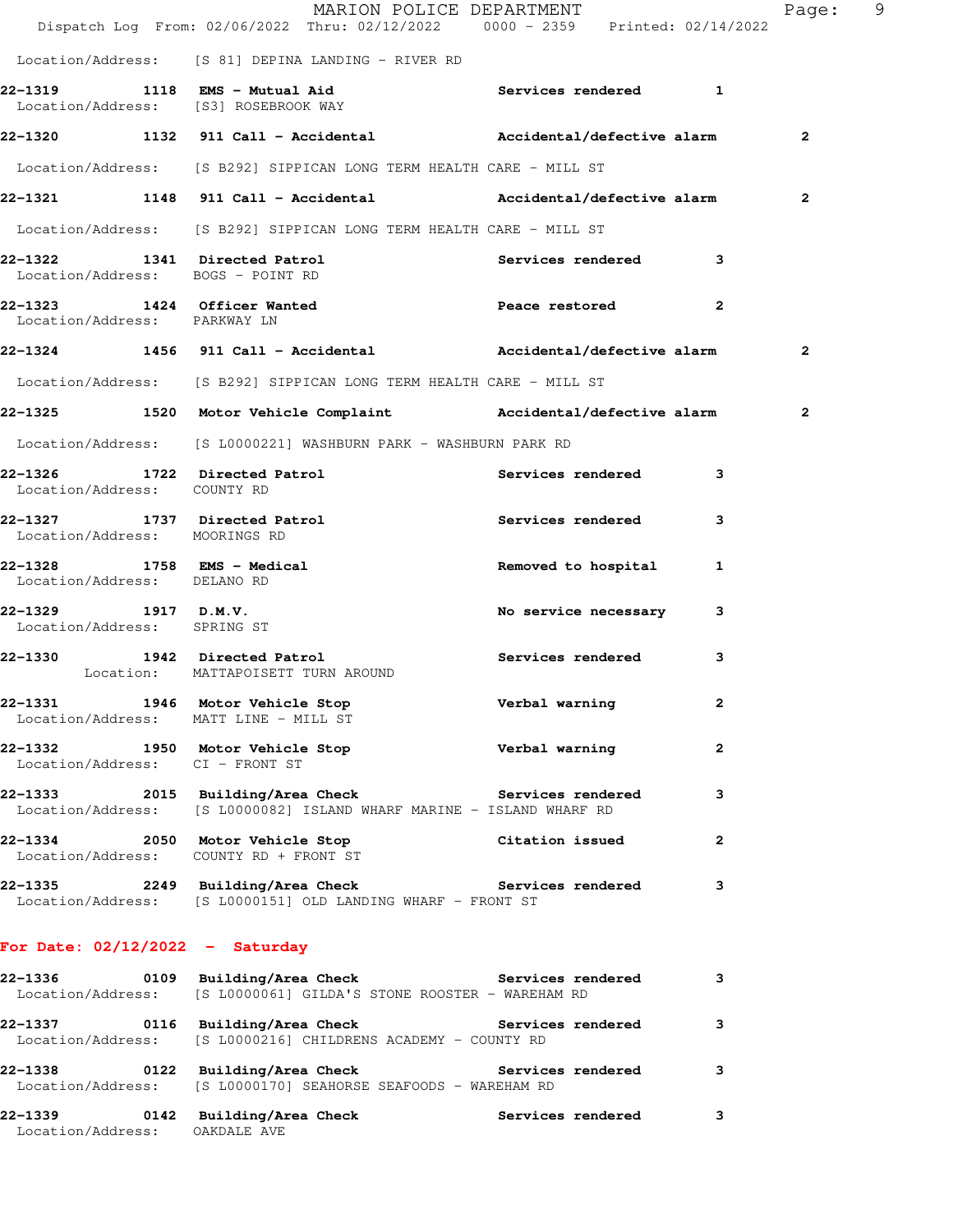|                                                    | MARION POLICE DEPARTMENT<br>Dispatch Log From: 02/06/2022 Thru: 02/12/2022 0000 - 2359 Printed: 02/14/2022                         |                        |                | Page: 9      |  |
|----------------------------------------------------|------------------------------------------------------------------------------------------------------------------------------------|------------------------|----------------|--------------|--|
|                                                    | Location/Address: [S 81] DEPINA LANDING - RIVER RD                                                                                 |                        |                |              |  |
|                                                    | 22-1319 1118 EMS - Mutual Aid Contract Services rendered 1<br>Location/Address: [S3] ROSEBROOK WAY                                 |                        |                |              |  |
|                                                    | 22-1320 1132 911 Call - Accidental               Accidental/defective alarm                                                        |                        |                | $\mathbf{2}$ |  |
|                                                    | Location/Address: [S B292] SIPPICAN LONG TERM HEALTH CARE - MILL ST                                                                |                        |                |              |  |
|                                                    | 22-1321 1148 911 Call - Accidental Maccidental/defective alarm                                                                     |                        |                | $\mathbf{2}$ |  |
|                                                    | Location/Address: [S B292] SIPPICAN LONG TERM HEALTH CARE - MILL ST                                                                |                        |                |              |  |
| Location/Address: BOGS - POINT RD                  | 22-1322 1341 Directed Patrol                                                                                                       | Services rendered 3    |                |              |  |
| Location/Address: PARKWAY LN                       | 22-1323 1424 Officer Wanted <b>Example 2</b> Peace restored 2                                                                      |                        |                |              |  |
|                                                    | 22-1324 1456 911 Call - Accidental Mccidental/defective alarm                                                                      |                        |                | $\mathbf{2}$ |  |
|                                                    | Location/Address: [S B292] SIPPICAN LONG TERM HEALTH CARE - MILL ST                                                                |                        |                |              |  |
|                                                    | 22-1325 1520 Motor Vehicle Complaint (Accidental/defective alarm                                                                   |                        |                | $\mathbf{2}$ |  |
|                                                    | Location/Address: [S L0000221] WASHBURN PARK - WASHBURN PARK RD                                                                    |                        |                |              |  |
| Location/Address: COUNTY RD                        | 22-1326 1722 Directed Patrol 1998 Services rendered 3                                                                              |                        |                |              |  |
| Location/Address: MOORINGS RD                      | 22-1327 1737 Directed Patrol 1998 Services rendered 3                                                                              |                        |                |              |  |
| Location/Address: DELANO RD                        | 22-1328 1758 EMS - Medical                                                                                                         | Removed to hospital 1  |                |              |  |
| 22–1329 1917 D.M.V.<br>Location/Address: SPRING ST |                                                                                                                                    | No service necessary 3 |                |              |  |
|                                                    | 22-1330 1942 Directed Patrol<br>Location: MATTAPOISETT TURN AROUND                                                                 | Services rendered      | 3              |              |  |
| Location/Address: MATT LINE - MILL ST              | 22-1331 1946 Motor Vehicle Stop Nerbal warning                                                                                     |                        | $\mathbf{z}$   |              |  |
| Location/Address: CI - FRONT ST                    | 22-1332 1950 Motor Vehicle Stop Nerbal warning                                                                                     |                        | $\overline{2}$ |              |  |
|                                                    | 22-1333 2015 Building/Area Check Services rendered<br>Location/Address: [S L0000082] ISLAND WHARF MARINE - ISLAND WHARF RD         |                        | 3              |              |  |
| Location/Address: COUNTY RD + FRONT ST             | 22-1334 2050 Motor Vehicle Stop Citation issued                                                                                    |                        | $\mathbf{2}$   |              |  |
|                                                    | 22-1335 2249 Building/Area Check 5 Services rendered 3<br>Location/Address: [S L0000151] OLD LANDING WHARF - FRONT ST              |                        |                |              |  |
| For Date: $02/12/2022 -$ Saturday                  |                                                                                                                                    |                        |                |              |  |
|                                                    | 22-1336 		 0109 Building/Area Check 		 Services rendered 3<br>Location/Address: [S L0000061] GILDA'S STONE ROOSTER - WAREHAM RD    |                        |                |              |  |
|                                                    | 22-1337       0116  Building/Area Check          Services rendered<br>Location/Address: [S L0000216] CHILDRENS ACADEMY - COUNTY RD |                        | 3              |              |  |
| 22-1338                                            | 0122 Building/Area Check Services rendered<br>Location/Address: [S L0000170] SEAHORSE SEAFOODS - WAREHAM RD                        |                        | 3              |              |  |

**22-1339 0142 Building/Area Check Services rendered 3**  Location/Address: OAKDALE AVE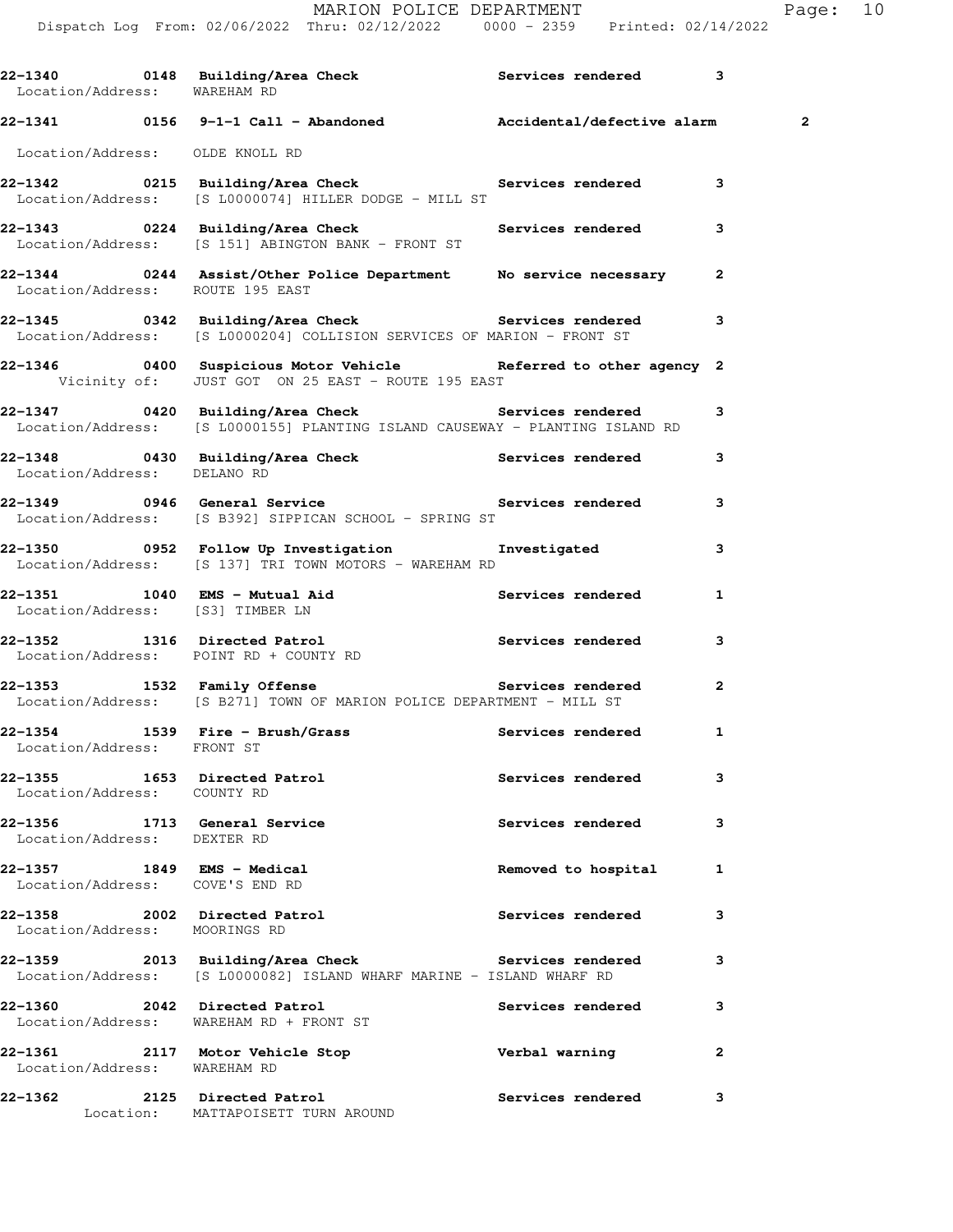MARION POLICE DEPARTMENT FRIEL Page: 10

Dispatch Log From: 02/06/2022 Thru: 02/12/2022 0000 - 2359 Printed: 02/14/2022

| Location/Address: WAREHAM RD                                  |                                                                                                                                                                                        |                     |                         |
|---------------------------------------------------------------|----------------------------------------------------------------------------------------------------------------------------------------------------------------------------------------|---------------------|-------------------------|
|                                                               | 22-1341 0156 9-1-1 Call - Abandoned Mccidental/defective alarm                                                                                                                         |                     | $\overline{\mathbf{c}}$ |
| Location/Address: OLDE KNOLL RD                               |                                                                                                                                                                                        |                     |                         |
|                                                               | 22-1342 		 0215 Building/Area Check 		 Services rendered 3<br>Location/Address: [S L0000074] HILLER DODGE - MILL ST                                                                    |                     |                         |
|                                                               | 22-1343 <a>&gt;&gt;&gt;&gt;&gt; 0224 Building/Area Check<br/> <a>&gt;&gt;&gt;&gt;&gt;&gt;&gt;&gt;&gt; Services rendered<br/>Location/Address: [S 151] ABINGTON BANK - FRONT ST</a></a> |                     | 3                       |
| Location/Address: ROUTE 195 EAST                              | 22-1344 0244 Assist/Other Police Department No service necessary 2                                                                                                                     |                     |                         |
|                                                               | Location/Address: [S L0000204] COLLISION SERVICES OF MARION - FRONT ST                                                                                                                 |                     | 3                       |
|                                                               | 22-1346 1400 Suspicious Motor Vehicle 1995 Referred to other agency 2<br>Vicinity of: JUST GOT ON 25 EAST - ROUTE 195 EAST                                                             |                     |                         |
|                                                               | 22-1347 		 0420 Building/Area Check 		 Services rendered 3<br>Location/Address: [S L0000155] PLANTING ISLAND CAUSEWAY - PLANTING ISLAND RD                                             |                     |                         |
| Location/Address: DELANO RD                                   | 22-1348 0430 Building/Area Check <b>Services</b> rendered                                                                                                                              |                     | 3                       |
|                                                               | 22-1349 		 0946 General Service 		 Services rendered<br>Location/Address: [S B392] SIPPICAN SCHOOL - SPRING ST                                                                         |                     | 3                       |
|                                                               | 22-1350       0952   Follow Up Investigation        Investigated<br>Location/Address: [S 137] TRI TOWN MOTORS - WAREHAM RD                                                             |                     | 3                       |
| Location/Address: [S3] TIMBER LN                              | 22-1351 1040 EMS - Mutual Aid Services rendered                                                                                                                                        |                     | $\mathbf{1}$            |
|                                                               | 22-1352      1316  Directed Patrol            Services rendered<br>Location/Address: POINT RD + COUNTY RD                                                                              |                     | 3                       |
|                                                               | 22-1353 1532 Family Offense <b>120 Contract Services</b> rendered 2<br>Location/Address: [S B271] TOWN OF MARION POLICE DEPARTMENT - MILL ST                                           |                     |                         |
| Location/Address: FRONT ST                                    |                                                                                                                                                                                        |                     |                         |
| 22-1355 1653 Directed Patrol<br>Location/Address: COUNTY RD   |                                                                                                                                                                                        | Services rendered   | 3                       |
| 22-1356 1713 General Service<br>Location/Address: DEXTER RD   |                                                                                                                                                                                        | Services rendered   | 3                       |
| 22-1357 1849 EMS - Medical<br>Location/Address: COVE'S END RD |                                                                                                                                                                                        | Removed to hospital | 1                       |
| Location/Address: MOORINGS RD                                 | 22-1358 2002 Directed Patrol                                                                                                                                                           | Services rendered   | 3                       |
|                                                               | 22-1359 2013 Building/Area Check Services rendered<br>Location/Address: [S L0000082] ISLAND WHARF MARINE - ISLAND WHARF RD                                                             |                     | 3                       |
| 22-1360 2042 Directed Patrol                                  | Location/Address: WAREHAM RD + FRONT ST                                                                                                                                                | Services rendered   | 3                       |
| Location/Address: WAREHAM RD                                  | 22-1361 2117 Motor Vehicle Stop                                                                                                                                                        | Verbal warning      | $\mathbf{2}$            |
|                                                               | 22-1362 2125 Directed Patrol                                                                                                                                                           | Services rendered 3 |                         |

Location: MATTAPOISETT TURN AROUND